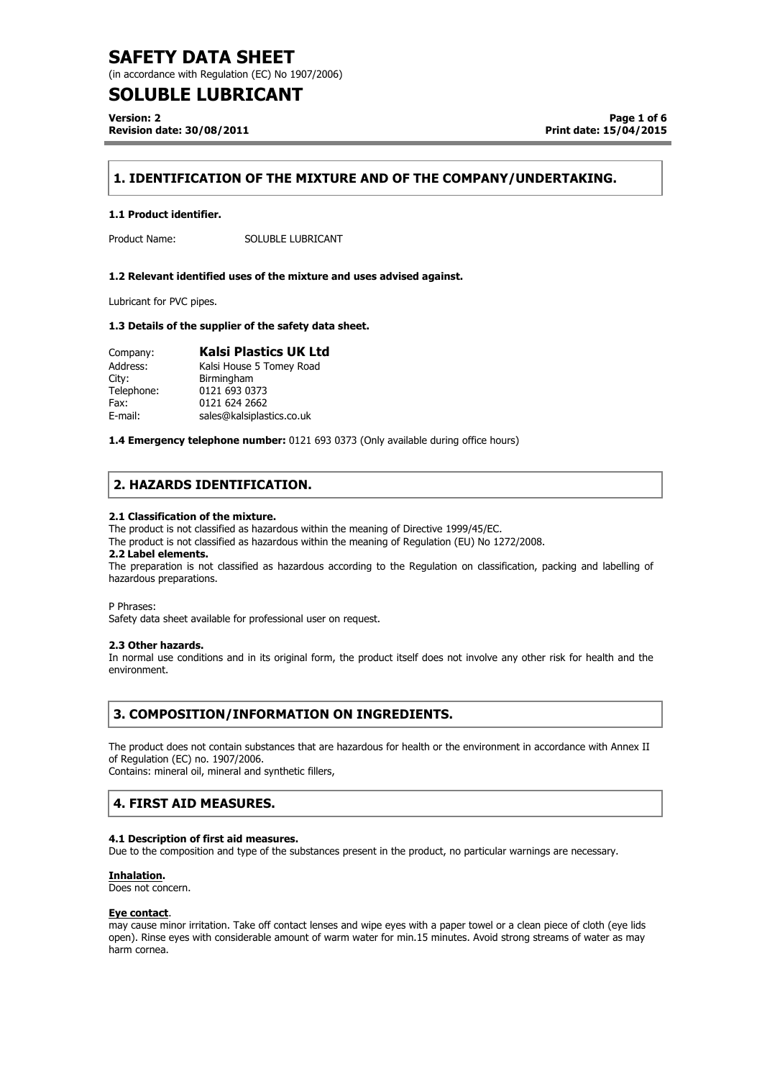(in accordance with Regulation (EC) No 1907/2006)

## **SOLUBLE LUBRICANT**

**Version: 2 Revision date: 30/08/2011**

**Page 1 of 6 Print date: 15/04/2015**

## **1. IDENTIFICATION OF THE MIXTURE AND OF THE COMPANY/UNDERTAKING.**

#### **1.1 Product identifier.**

Product Name: SOLUBLE LUBRICANT

#### **1.2 Relevant identified uses of the mixture and uses advised against.**

Lubricant for PVC pipes.

#### **1.3 Details of the supplier of the safety data sheet.**

| Company:   | <b>Kalsi Plastics UK Ltd</b> |
|------------|------------------------------|
| Address:   | Kalsi House 5 Tomey Road     |
| City:      | Birmingham                   |
| Telephone: | 0121 693 0373                |
| Fax:       | 0121 624 2662                |
| E-mail:    | sales@kalsiplastics.co.uk    |

**1.4 Emergency telephone number:** 0121 693 0373 (Only available during office hours)

### **2. HAZARDS IDENTIFICATION.**

#### **2.1 Classification of the mixture.**

The product is not classified as hazardous within the meaning of Directive 1999/45/EC.

The product is not classified as hazardous within the meaning of Regulation (EU) No 1272/2008.

#### **2.2 Label elements.**

The preparation is not classified as hazardous according to the Regulation on classification, packing and labelling of hazardous preparations..

P Phrases:

Safety data sheet available for professional user on request.

#### **2.3 Other hazards.**

In normal use conditions and in its original form, the product itself does not involve any other risk for health and the environment.

### **3. COMPOSITION/INFORMATION ON INGREDIENTS.**

The product does not contain substances that are hazardous for health or the environment in accordance with Annex II of Regulation (EC) no. 1907/2006.

Contains: mineral oil, mineral and synthetic fillers,

### **4. FIRST AID MEASURES.**

#### **4.1 Description of first aid measures.**

Due to the composition and type of the substances present in the product, no particular warnings are necessary.

#### **Inhalation.**

Does not concern.

#### **Eye contact**.

may cause minor irritation. Take off contact lenses and wipe eyes with a paper towel or a clean piece of cloth (eye lids open). Rinse eyes with considerable amount of warm water for min.15 minutes. Avoid strong streams of water as may harm cornea.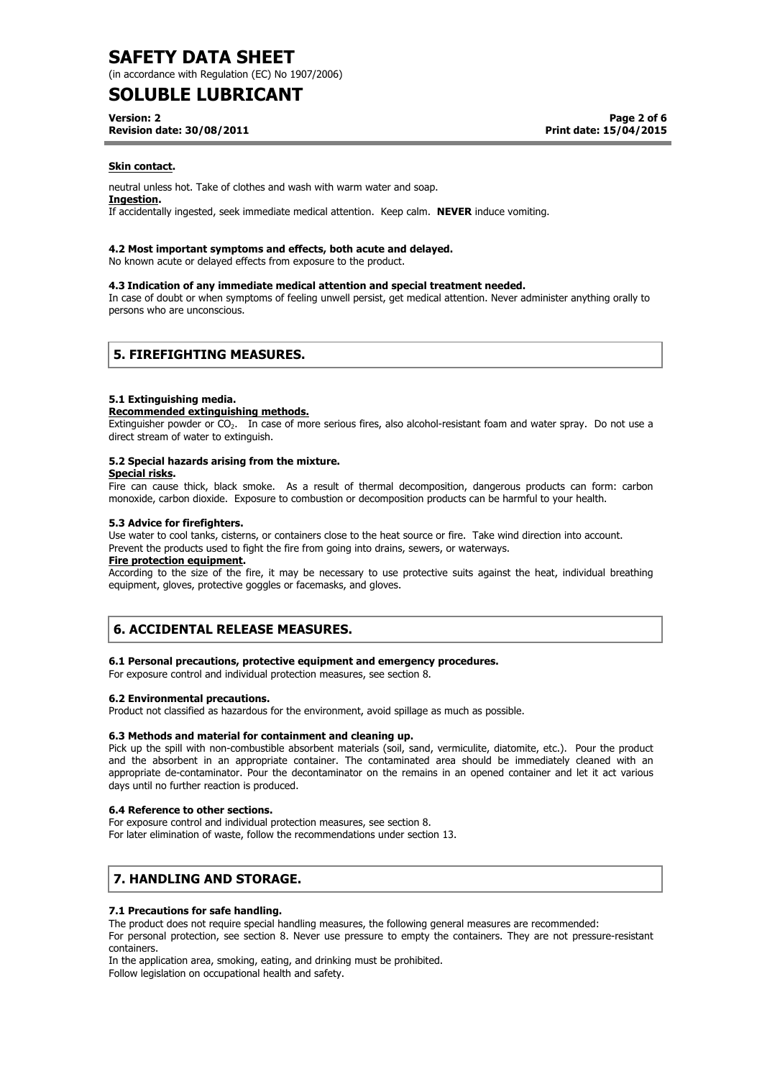(in accordance with Regulation (EC) No 1907/2006)

## **SOLUBLE LUBRICANT**

**Version: 2**

**Revision date: 30/08/2011**

**Page 2 of 6 Print date: 15/04/2015**

#### **Skin contact.**

neutral unless hot. Take of clothes and wash with warm water and soap.

#### **Ingestion.**

If accidentally ingested, seek immediate medical attention. Keep calm. **NEVER** induce vomiting.

#### **4.2 Most important symptoms and effects, both acute and delayed.**

No known acute or delayed effects from exposure to the product.

#### **4.3 Indication of any immediate medical attention and special treatment needed.**

In case of doubt or when symptoms of feeling unwell persist, get medical attention. Never administer anything orally to persons who are unconscious.

### **5. FIREFIGHTING MEASURES.**

#### **5.1 Extinguishing media.**

#### **Recommended extinguishing methods.**

Extinguisher powder or CO<sub>2</sub>. In case of more serious fires, also alcohol-resistant foam and water spray. Do not use a direct stream of water to extinguish.

### **5.2 Special hazards arising from the mixture.**

#### **Special risks.**

Fire can cause thick, black smoke. As a result of thermal decomposition, dangerous products can form: carbon monoxide, carbon dioxide. Exposure to combustion or decomposition products can be harmful to your health.

#### **5.3 Advice for firefighters.**

Use water to cool tanks, cisterns, or containers close to the heat source or fire. Take wind direction into account. Prevent the products used to fight the fire from going into drains, sewers, or waterways.

#### **Fire protection equipment.**

According to the size of the fire, it may be necessary to use protective suits against the heat, individual breathing equipment, gloves, protective goggles or facemasks, and gloves.

## **6. ACCIDENTAL RELEASE MEASURES.**

#### **6.1 Personal precautions, protective equipment and emergency procedures.**

For exposure control and individual protection measures, see section 8.

#### **6.2 Environmental precautions.**

Product not classified as hazardous for the environment, avoid spillage as much as possible.

#### **6.3 Methods and material for containment and cleaning up.**

Pick up the spill with non-combustible absorbent materials (soil, sand, vermiculite, diatomite, etc.). Pour the product and the absorbent in an appropriate container. The contaminated area should be immediately cleaned with an appropriate de-contaminator. Pour the decontaminator on the remains in an opened container and let it act various days until no further reaction is produced.

#### **6.4 Reference to other sections.**

For exposure control and individual protection measures, see section 8. For later elimination of waste, follow the recommendations under section 13.

## **7. HANDLING AND STORAGE.**

#### **7.1 Precautions for safe handling.**

The product does not require special handling measures, the following general measures are recommended: For personal protection, see section 8. Never use pressure to empty the containers. They are not pressure-resistant containers.

In the application area, smoking, eating, and drinking must be prohibited. Follow legislation on occupational health and safety.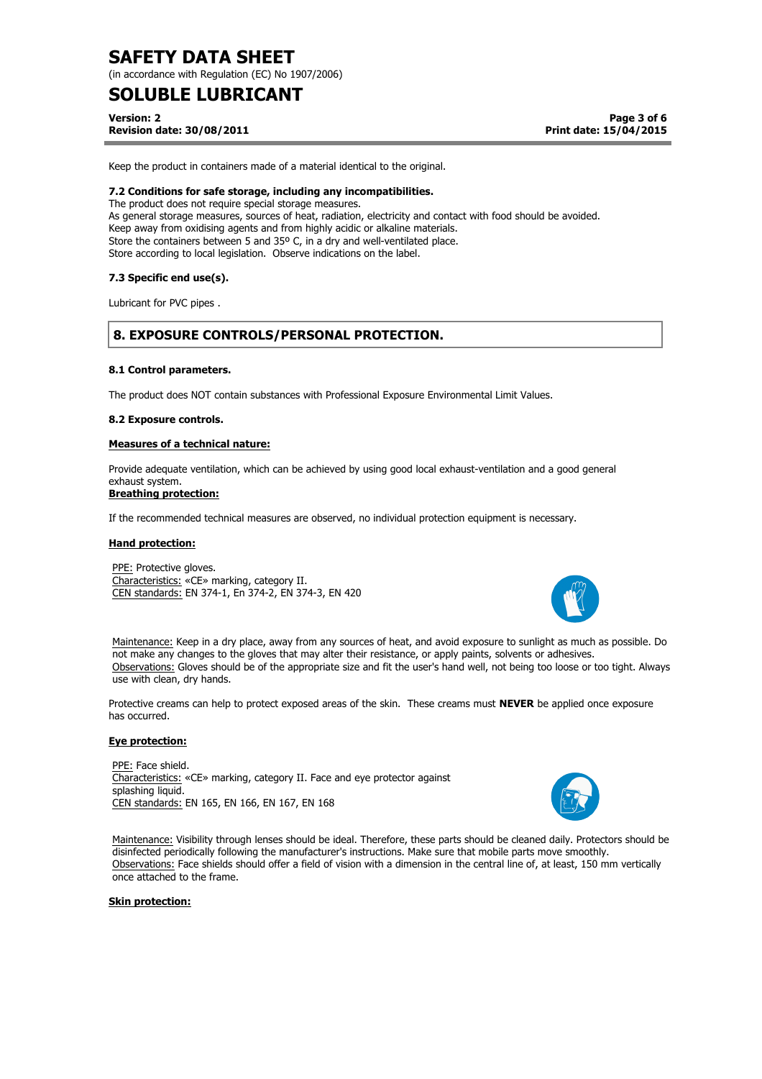(in accordance with Regulation (EC) No 1907/2006)

## **SOLUBLE LUBRICANT**

**Version: 2 Revision date: 30/08/2011**

**Page 3 of 6 Print date: 15/04/2015**

Keep the product in containers made of a material identical to the original.

#### **7.2 Conditions for safe storage, including any incompatibilities.**

The product does not require special storage measures. As general storage measures, sources of heat, radiation, electricity and contact with food should be avoided. Keep away from oxidising agents and from highly acidic or alkaline materials. Store the containers between 5 and 35° C, in a dry and well-ventilated place. Store according to local legislation. Observe indications on the label.

#### **7.3 Specific end use(s).**

Lubricant for PVC pipes .

## **8. EXPOSURE CONTROLS/PERSONAL PROTECTION.**

#### **8.1 Control parameters.**

The product does NOT contain substances with Professional Exposure Environmental Limit Values.

#### **8.2 Exposure controls.**

#### **Measures of a technical nature:**

Provide adequate ventilation, which can be achieved by using good local exhaust-ventilation and a good general exhaust system.

#### **Breathing protection:**

If the recommended technical measures are observed, no individual protection equipment is necessary.

#### **Hand protection:**

PPE: Protective gloves. Characteristics: «CE» marking, category II. CEN standards: EN 374-1, En 374-2, EN 374-3, EN 420



Maintenance: Keep in a dry place, away from any sources of heat, and avoid exposure to sunlight as much as possible. Do not make any changes to the gloves that may alter their resistance, or apply paints, solvents or adhesives. Observations: Gloves should be of the appropriate size and fit the user's hand well, not being too loose or too tight. Always use with clean, dry hands.

Protective creams can help to protect exposed areas of the skin. These creams must **NEVER** be applied once exposure has occurred.

#### **Eye protection:**

PPE: Face shield. Characteristics: «CE» marking, category II. Face and eye protector against splashing liquid. CEN standards: EN 165, EN 166, EN 167, EN 168



Maintenance: Visibility through lenses should be ideal. Therefore, these parts should be cleaned daily. Protectors should be disinfected periodically following the manufacturer's instructions. Make sure that mobile parts move smoothly. Observations: Face shields should offer a field of vision with a dimension in the central line of, at least, 150 mm vertically once attached to the frame.

#### **Skin protection:**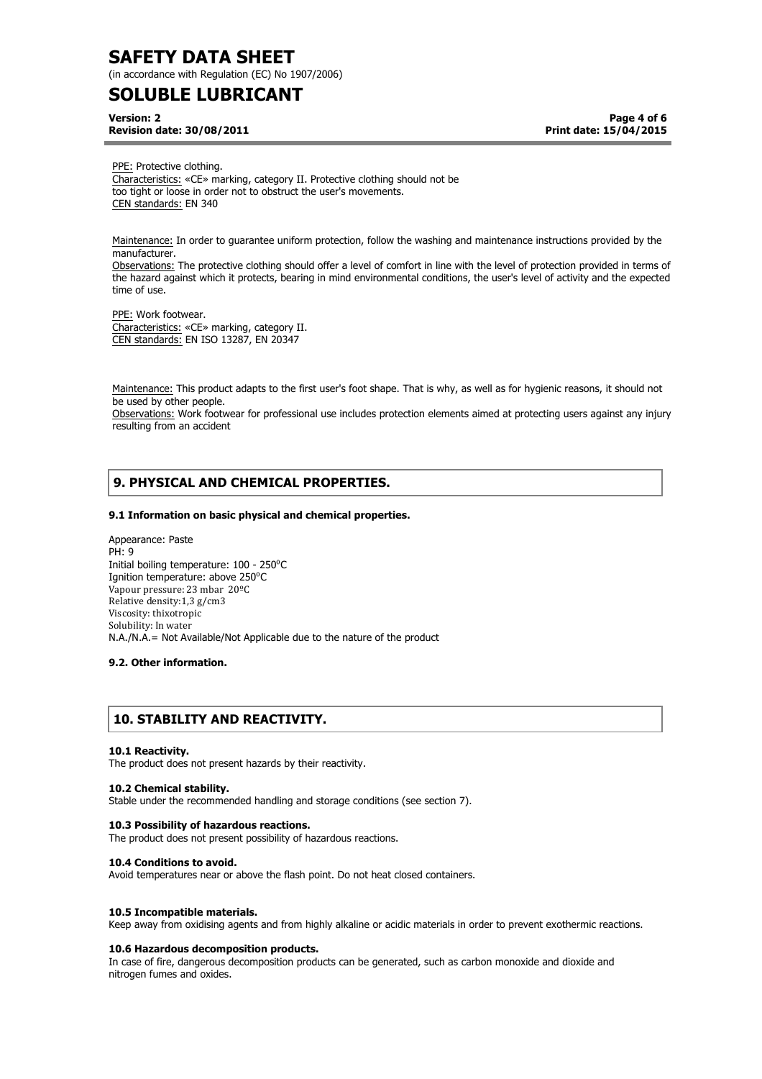(in accordance with Regulation (EC) No 1907/2006)

## **SOLUBLE LUBRICANT**

**Version: 2 Revision date: 30/08/2011**

**Page 4 of 6 Print date: 15/04/2015**

PPE: Protective clothing. Characteristics: «CE» marking, category II. Protective clothing should not be too tight or loose in order not to obstruct the user's movements. CEN standards: EN 340

Maintenance: In order to guarantee uniform protection, follow the washing and maintenance instructions provided by the manufacturer.

Observations: The protective clothing should offer a level of comfort in line with the level of protection provided in terms of the hazard against which it protects, bearing in mind environmental conditions, the user's level of activity and the expected time of use.

PPE: Work footwear. Characteristics: «CE» marking, category II. CEN standards: EN ISO 13287, EN 20347

Maintenance: This product adapts to the first user's foot shape. That is why, as well as for hygienic reasons, it should not be used by other people.

Observations: Work footwear for professional use includes protection elements aimed at protecting users against any injury resulting from an accident

## **9. PHYSICAL AND CHEMICAL PROPERTIES.**

#### **9.1 Information on basic physical and chemical properties.**

Appearance: Paste PH: 9 Initial boiling temperature: 100 - 250<sup>°</sup>C Ignition temperature: above 250°C Vapour pressure: 23 mbar 20<sup>o</sup>C Relative density:1,3 g/cm3 Viscosity: thixotropic Solubility: In water N.A./N.A.= Not Available/Not Applicable due to the nature of the product

#### **9.2. Other information.**

## **10. STABILITY AND REACTIVITY.**

#### **10.1 Reactivity.**

The product does not present hazards by their reactivity.

#### **10.2 Chemical stability.**

Stable under the recommended handling and storage conditions (see section 7).

#### **10.3 Possibility of hazardous reactions.**

The product does not present possibility of hazardous reactions.

#### **10.4 Conditions to avoid.**

Avoid temperatures near or above the flash point. Do not heat closed containers.

#### **10.5 Incompatible materials.**

Keep away from oxidising agents and from highly alkaline or acidic materials in order to prevent exothermic reactions.

#### **10.6 Hazardous decomposition products.**

In case of fire, dangerous decomposition products can be generated, such as carbon monoxide and dioxide and nitrogen fumes and oxides.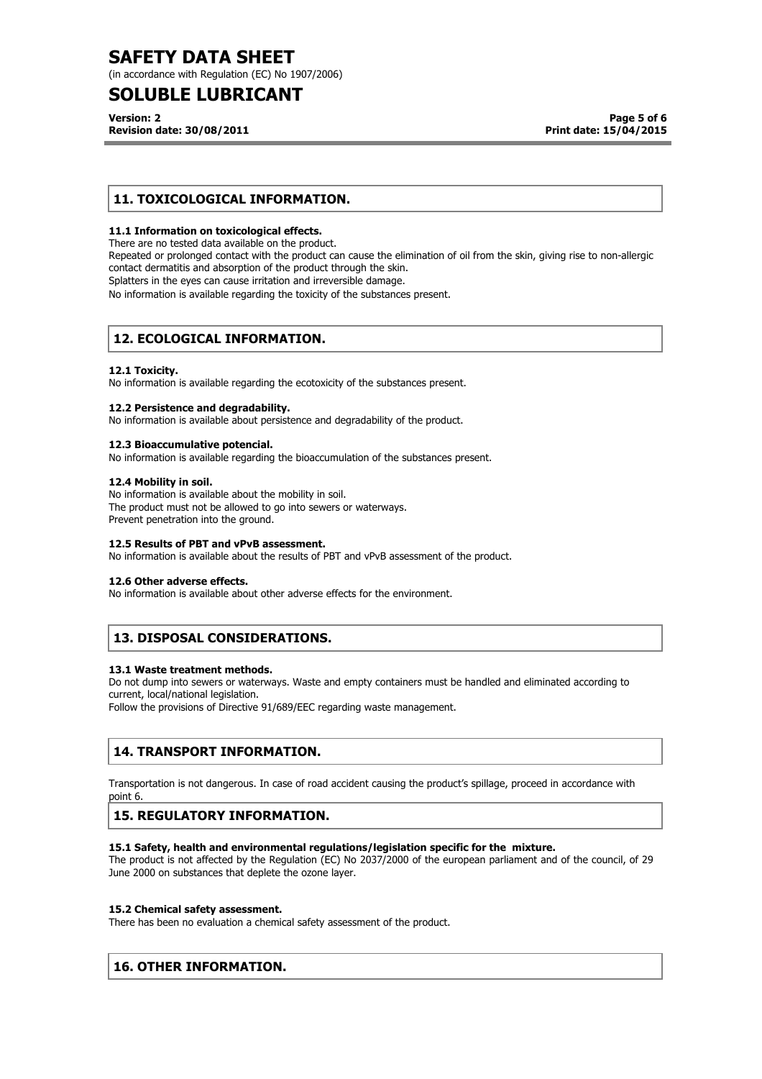(in accordance with Regulation (EC) No 1907/2006)

## **SOLUBLE LUBRICANT**

**Version: 2 Revision date: 30/08/2011**

## **11. TOXICOLOGICAL INFORMATION.**

#### **11.1 Information on toxicological effects.**

There are no tested data available on the product.

Repeated or prolonged contact with the product can cause the elimination of oil from the skin, giving rise to non-allergic contact dermatitis and absorption of the product through the skin.

Splatters in the eyes can cause irritation and irreversible damage.

No information is available regarding the toxicity of the substances present.

## **12. ECOLOGICAL INFORMATION.**

#### **12.1 Toxicity.**

No information is available regarding the ecotoxicity of the substances present.

#### **12.2 Persistence and degradability.**

No information is available about persistence and degradability of the product.

#### **12.3 Bioaccumulative potencial.**

No information is available regarding the bioaccumulation of the substances present.

#### **12.4 Mobility in soil.**

No information is available about the mobility in soil. The product must not be allowed to go into sewers or waterways. Prevent penetration into the ground.

#### **12.5 Results of PBT and vPvB assessment.**

No information is available about the results of PBT and vPvB assessment of the product.

#### **12.6 Other adverse effects.**

No information is available about other adverse effects for the environment.

## **13. DISPOSAL CONSIDERATIONS.**

#### **13.1 Waste treatment methods.**

Do not dump into sewers or waterways. Waste and empty containers must be handled and eliminated according to current, local/national legislation.

Follow the provisions of Directive 91/689/EEC regarding waste management.

## **14. TRANSPORT INFORMATION.**

Transportation is not dangerous. In case of road accident causing the product's spillage, proceed in accordance with point 6.

## **15. REGULATORY INFORMATION.**

#### **15.1 Safety, health and environmental regulations/legislation specific for the mixture.**

The product is not affected by the Regulation (EC) No 2037/2000 of the european parliament and of the council, of 29 June 2000 on substances that deplete the ozone layer.

#### **15.2 Chemical safety assessment.**

There has been no evaluation a chemical safety assessment of the product.

## **16. OTHER INFORMATION.**